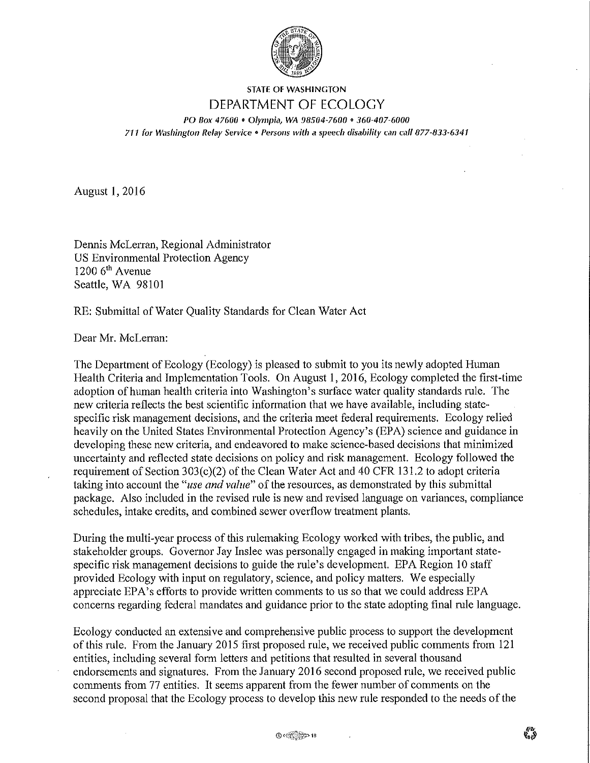

## STATE OF WASHINGTON DEPARTMENT OF ECOLOGY PO Box 47600 • Olympia, WA 98504-7600 • 360-407-6000

*711* **for W<1shingto11** *Relay Service* **o** *Persons ivith* **a** *speech disability can call 877-833-6341* 

August 1, 2016

Dennis McLerran, Regional Administrator US Environmental Protection Agency  $1200$  6<sup>th</sup> Avenue Seattle, WA 98101

RE: Submittal of Water Quality Standards for Clean Water Act

Dear Mr. McLerran:

The Department of Ecology (Ecology) is pleased to submit to you its newly adopted Human Health Criteria and Implementation Tools. On August 1, 2016, Ecology completed the first-time adoption of human health criteria into Washington's surface water quality standards rule. The new criteria reflects the best scientific information that we have available, including statespecific risk management decisions, and the criteria meet federal requirements. Ecology relied heavily on the United States Environmental Protection Agency's (EPA) science and guidance in developing these new criteria, and endeavored to make science-based decisions that minimized uncertainty and reflected state decisions on policy and risk management. Ecology followed the requirement of Section 303(c)(2) of the Clean Water Act and 40CFR131.2 to adopt criteria taking into account the *"use and value"* of the resources, as demonstrated by this submittal package. Also included in the revised rule is new and revised language on variances, compliance schedules, intake credits, and combined sewer overflow treatment plants.

During the multi-year process of this rulemaking Ecology worked with tribes, the public, and stakeholder groups. Govemor Jay Inslee was personally engaged in making important statespecific risk management decisions to guide the rule's development. EPA Region IO staff provided Ecology with input on regulatory, science, and policy matters. We especially appreciate EPA's efforts to provide written comments to us so that we could address EPA concems regarding federal mandates and guidance prior to the state adopting final rule language.

Ecology conducted an extensive and comprehensive public process to support the development of this rule. From the January 2015 first proposed rule, we received public comments from 121 entities, including several form letters and petitions that resulted in several thousand endorsements and signatures. From the January 2016 second proposed rule, we received public comments from 77 entities. It seems apparent from the fewer number of comments on the second proposal that the Ecology process to develop this new rule responded to the needs of the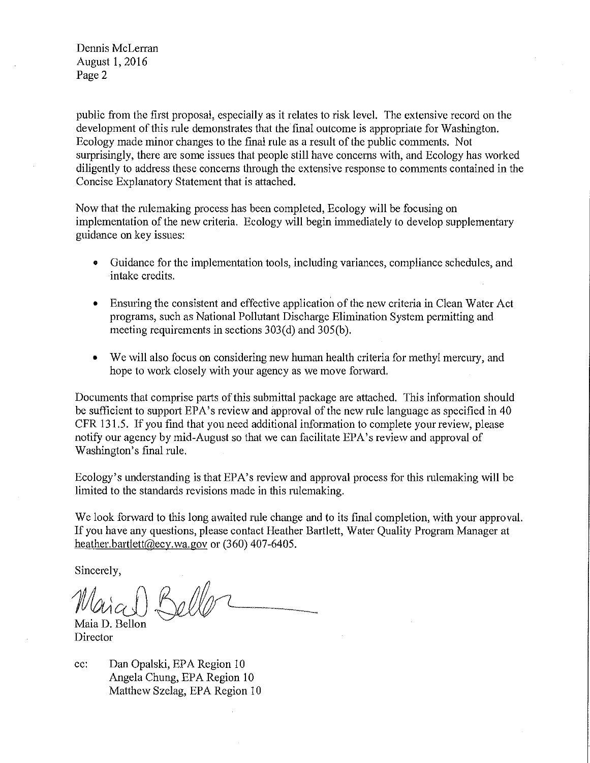Dennis McLerran August 1, 2016 Page 2

public from the first proposal, especially as it relates to risk level. The extensive record on the development of this rnle demonstrates that the final outcome is appropriate for Washington. Ecology made minor changes to the final rule as a result of the public comments. Not surprisingly, there are some issues that people still have concerns with, and Ecology has worked diligently to address these concerns through the extensive response to comments contained in the Concise Explanatory Statement that is attached.

Now that the rulemaking process has been completed, Ecology will be focusing on implementation of the new criteria. Ecology will begin immediately to develop supplementary guidance on key issues:

- Guidance for the implementation *tools,* including variances, compliance schedules, and intake credits.
- Ensuring the consistent and effective application of the new criteria in Clean Water Act programs, such as National Pollutant Discharge Elimination System permitting and meeting requirements in sections  $303(d)$  and  $305(b)$ .
- We will also focus on considering new human health criteria for methyl mercury, and hope to work closely with your agency as we move forward.

Documents that comprise parts of this submittal package are attached. This information should be sufficient to support EPA's review and approval of the new rule language as specified in 40 CFR 131.5. If you find that you need additional information to complete your review, please notify our agency by mid-August so that we can facilitate EPA's review and approval of Washington's final rule.

Ecology's understanding is that EPA's review and approval process for this rulemaking will be limited to the standards revisions made in this rulemaking.

We look forward to this long awaited rule change and to its final completion, with your approval. If you have any questions, please contact Heather Bartlett, Water Quality Program Manager at heather.bartlett@ecy.wa.gov or (360) 407-6405.

Sincerely,

 $\mathcal{M}_{\mathcal{U}(\alpha)}$ 

Director

cc: Dan Opalski, EPA Region 10 Angela Chung, EPA Region 10 Matthew Szelag, EPA Region 10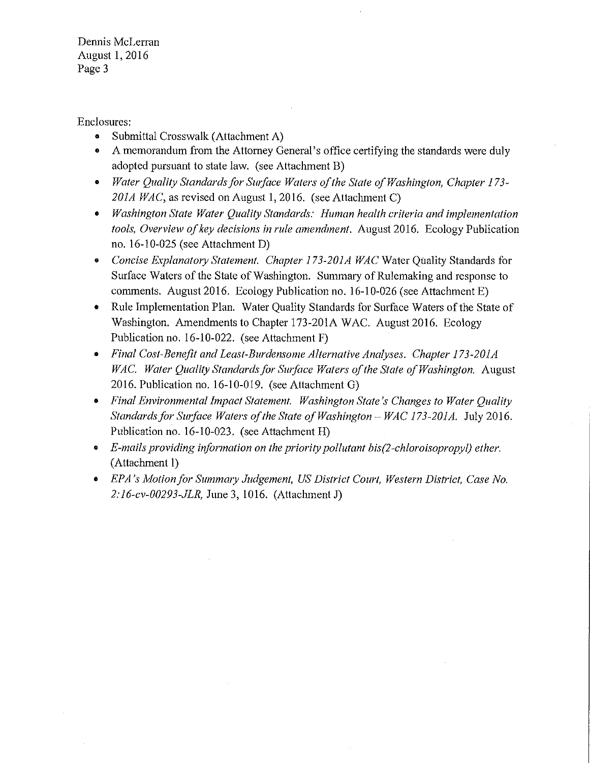Dennis McLerran August 1, 2016 Page 3

Enclosures:

- Submittal Crosswalk (Attachment A)
- A memorandum from the Attorney General's office certifying the standards were duly adopted pursuant to state law. (see Attachment B)
- *Water Quality Standards for Swface Waters of the State of Washington, Chapter l 73- 201A WAC,* as revised on August 1, 2016. (see Attachment C)
- *Washington State Water Quality Standards: Human health criteria and implementation tools, Overview of key decisions in rule amendment.* August 2016. Ecology Publication no. 16-10-025 (see Attachment D)
- *Concise Explanat01y Statement. Chapter 173-201A WAC* Water Quality Standards for Surface Waters of the State of Washington. Summary of Rulemaking and response to comments. August 2016. Ecology Publication no. 16-10-026 (see Attachment E)
- Rule Implementation Plan. Water Quality Standards for Surface Waters of the State of Washington. Amendments to Chapter 173-201A WAC. August 2016. Ecology Publication no. 16-10-022. (see Attachment F)
- *Final Cost-Benefit and Least-Burdensome Alternative Analyses. Chapter 173-201A WAC. Water Quality Standards for Swface Waters of the State of Washington.* August 2016. Publication no. 16-10-019. (see Attachment G)
- *Final Environmental Impact Statement. Washington State's Changes to Water Quality Standards for Surface Waters of the State of Washington- WAC 173-201A.* July 2016. Publication no. 16-10-023. (see Attachment H)
- *E-mails providing information on the priority pollutant bis(2-chloroisopropyl) ether.*  (Attachment I)
- *EPA's Motion for Summary Judgement, US District Court, Western District, Case No. 2:16-cv-00293-JLR,* June 3, 1016. (Attachment J)